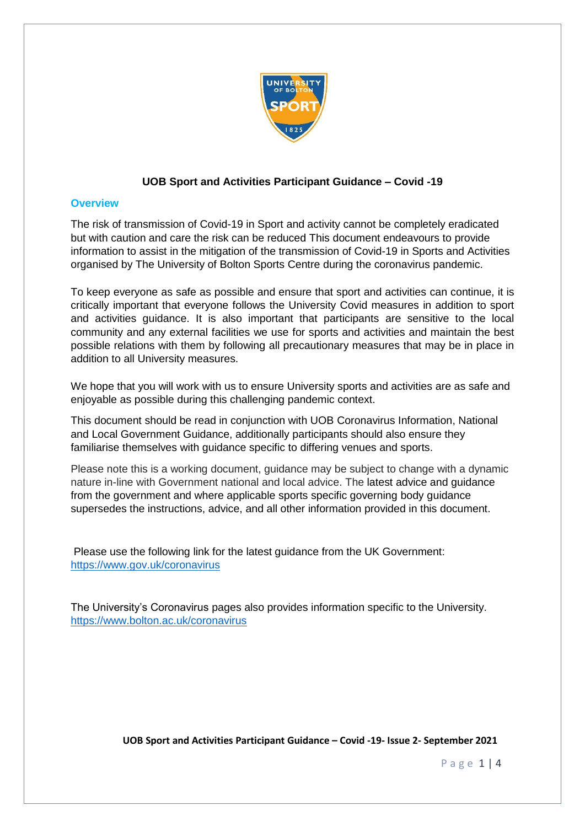

## **UOB Sport and Activities Participant Guidance – Covid -19**

## **Overview**

The risk of transmission of Covid-19 in Sport and activity cannot be completely eradicated but with caution and care the risk can be reduced This document endeavours to provide information to assist in the mitigation of the transmission of Covid-19 in Sports and Activities organised by The University of Bolton Sports Centre during the coronavirus pandemic.

To keep everyone as safe as possible and ensure that sport and activities can continue, it is critically important that everyone follows the University Covid measures in addition to sport and activities guidance. It is also important that participants are sensitive to the local community and any external facilities we use for sports and activities and maintain the best possible relations with them by following all precautionary measures that may be in place in addition to all University measures.

We hope that you will work with us to ensure University sports and activities are as safe and enjoyable as possible during this challenging pandemic context.

This document should be read in conjunction with UOB Coronavirus Information, National and Local Government Guidance, additionally participants should also ensure they familiarise themselves with guidance specific to differing venues and sports.

Please note this is a working document, guidance may be subject to change with a dynamic nature in-line with Government national and local advice. The latest advice and guidance from the government and where applicable sports specific governing body guidance supersedes the instructions, advice, and all other information provided in this document.

Please use the following link for the latest guidance from the UK Government: <https://www.gov.uk/coronavirus>

The University's Coronavirus pages also provides information specific to the University. <https://www.bolton.ac.uk/coronavirus>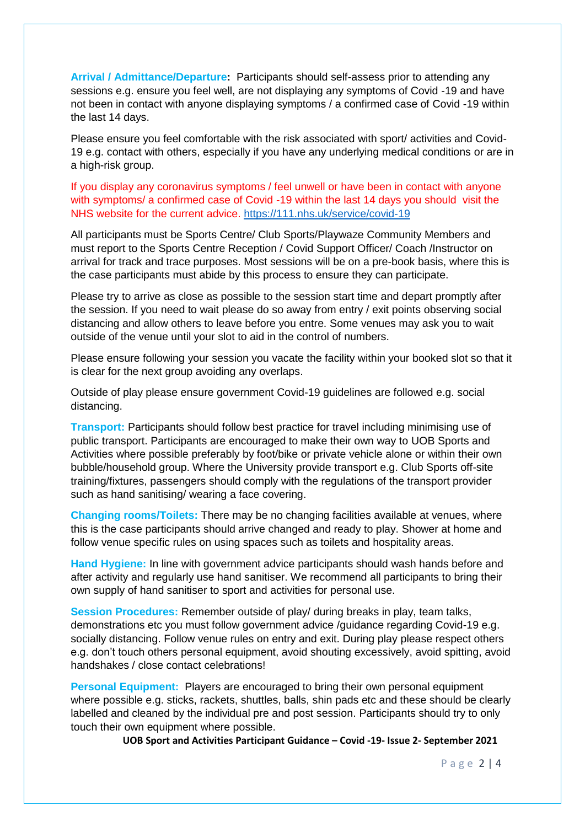**Arrival / Admittance/Departure:** Participants should self-assess prior to attending any sessions e.g. ensure you feel well, are not displaying any symptoms of Covid -19 and have not been in contact with anyone displaying symptoms / a confirmed case of Covid -19 within the last 14 days.

Please ensure you feel comfortable with the risk associated with sport/ activities and Covid-19 e.g. contact with others, especially if you have any underlying medical conditions or are in a high-risk group.

If you display any coronavirus symptoms / feel unwell or have been in contact with anyone with symptoms/ a confirmed case of Covid -19 within the last 14 days you should visit the NHS website for the current advice.<https://111.nhs.uk/service/covid-19>

All participants must be Sports Centre/ Club Sports/Playwaze Community Members and must report to the Sports Centre Reception / Covid Support Officer/ Coach /Instructor on arrival for track and trace purposes. Most sessions will be on a pre-book basis, where this is the case participants must abide by this process to ensure they can participate.

Please try to arrive as close as possible to the session start time and depart promptly after the session. If you need to wait please do so away from entry / exit points observing social distancing and allow others to leave before you entre. Some venues may ask you to wait outside of the venue until your slot to aid in the control of numbers.

Please ensure following your session you vacate the facility within your booked slot so that it is clear for the next group avoiding any overlaps.

Outside of play please ensure government Covid-19 guidelines are followed e.g. social distancing.

**Transport:** Participants should follow best practice for travel including minimising use of public transport. Participants are encouraged to make their own way to UOB Sports and Activities where possible preferably by foot/bike or private vehicle alone or within their own bubble/household group. Where the University provide transport e.g. Club Sports off-site training/fixtures, passengers should comply with the regulations of the transport provider such as hand sanitising/ wearing a face covering.

**Changing rooms/Toilets:** There may be no changing facilities available at venues, where this is the case participants should arrive changed and ready to play. Shower at home and follow venue specific rules on using spaces such as toilets and hospitality areas.

**Hand Hygiene:** In line with government advice participants should wash hands before and after activity and regularly use hand sanitiser. We recommend all participants to bring their own supply of hand sanitiser to sport and activities for personal use.

**Session Procedures:** Remember outside of play/ during breaks in play, team talks, demonstrations etc you must follow government advice /guidance regarding Covid-19 e.g. socially distancing. Follow venue rules on entry and exit. During play please respect others e.g. don't touch others personal equipment, avoid shouting excessively, avoid spitting, avoid handshakes / close contact celebrations!

**Personal Equipment:** Players are encouraged to bring their own personal equipment where possible e.g. sticks, rackets, shuttles, balls, shin pads etc and these should be clearly labelled and cleaned by the individual pre and post session. Participants should try to only touch their own equipment where possible.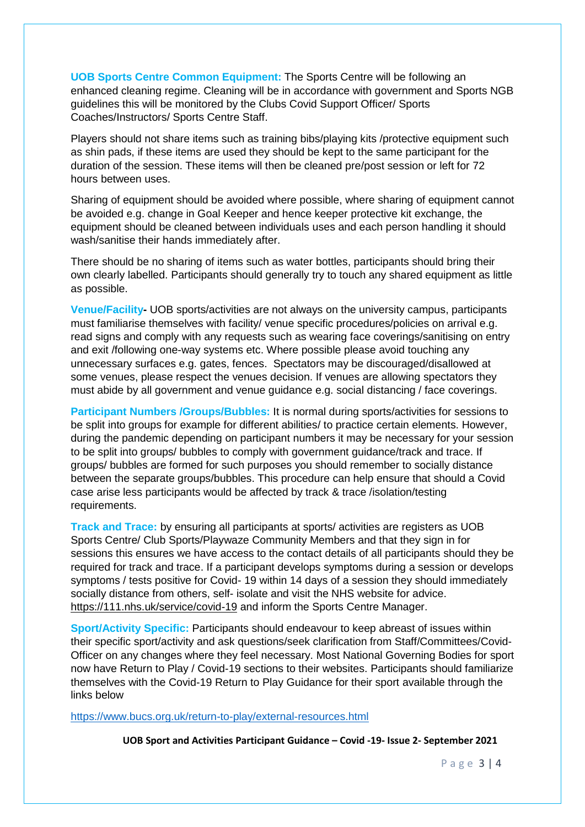**UOB Sports Centre Common Equipment:** The Sports Centre will be following an enhanced cleaning regime. Cleaning will be in accordance with government and Sports NGB guidelines this will be monitored by the Clubs Covid Support Officer/ Sports Coaches/Instructors/ Sports Centre Staff.

Players should not share items such as training bibs/playing kits /protective equipment such as shin pads, if these items are used they should be kept to the same participant for the duration of the session. These items will then be cleaned pre/post session or left for 72 hours between uses.

Sharing of equipment should be avoided where possible, where sharing of equipment cannot be avoided e.g. change in Goal Keeper and hence keeper protective kit exchange, the equipment should be cleaned between individuals uses and each person handling it should wash/sanitise their hands immediately after.

There should be no sharing of items such as water bottles, participants should bring their own clearly labelled. Participants should generally try to touch any shared equipment as little as possible.

**Venue/Facility-** UOB sports/activities are not always on the university campus, participants must familiarise themselves with facility/ venue specific procedures/policies on arrival e.g. read signs and comply with any requests such as wearing face coverings/sanitising on entry and exit /following one-way systems etc. Where possible please avoid touching any unnecessary surfaces e.g. gates, fences. Spectators may be discouraged/disallowed at some venues, please respect the venues decision. If venues are allowing spectators they must abide by all government and venue guidance e.g. social distancing / face coverings.

**Participant Numbers /Groups/Bubbles:** It is normal during sports/activities for sessions to be split into groups for example for different abilities/ to practice certain elements. However, during the pandemic depending on participant numbers it may be necessary for your session to be split into groups/ bubbles to comply with government guidance/track and trace. If groups/ bubbles are formed for such purposes you should remember to socially distance between the separate groups/bubbles. This procedure can help ensure that should a Covid case arise less participants would be affected by track & trace /isolation/testing requirements.

**Track and Trace:** by ensuring all participants at sports/ activities are registers as UOB Sports Centre/ Club Sports/Playwaze Community Members and that they sign in for sessions this ensures we have access to the contact details of all participants should they be required for track and trace. If a participant develops symptoms during a session or develops symptoms / tests positive for Covid- 19 within 14 days of a session they should immediately socially distance from others, self- isolate and visit the NHS website for advice. <https://111.nhs.uk/service/covid-19> and inform the Sports Centre Manager.

**Sport/Activity Specific:** Participants should endeavour to keep abreast of issues within their specific sport/activity and ask questions/seek clarification from Staff/Committees/Covid-Officer on any changes where they feel necessary. Most National Governing Bodies for sport now have Return to Play / Covid-19 sections to their websites. Participants should familiarize themselves with the Covid-19 Return to Play Guidance for their sport available through the links below

<https://www.bucs.org.uk/return-to-play/external-resources.html>